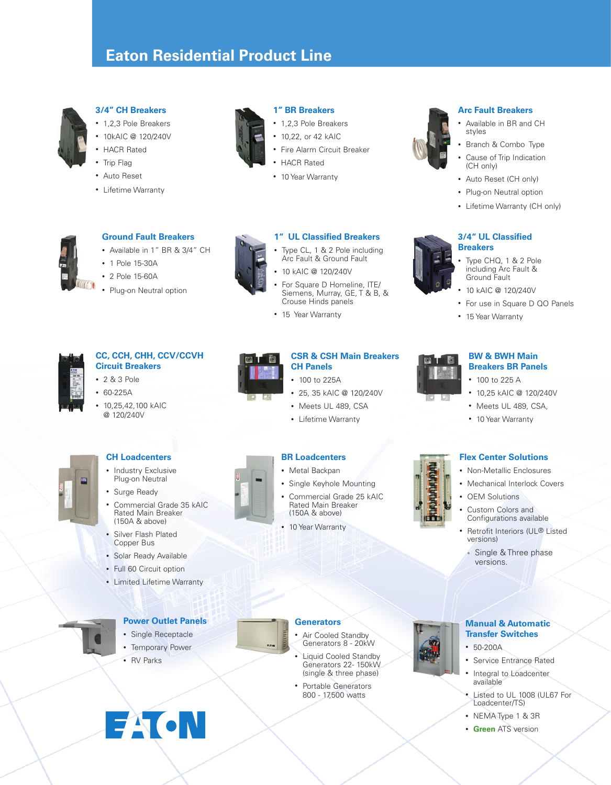# **Eaton Residential Product Line**



#### **3/4" CH Breakers**

- 1,2,3 Pole Breakers
- 10kAIC @ 120/240V
- • HACR Rated
- Trip Flag
- • Auto Reset
- • Lifetime Warranty

• 1 Pole 15-30A • 2 Pole 15-60A



#### **1" BR Breakers**

- 1,2,3 Pole Breakers
- 10,22, or 42 kAIC
- Fire Alarm Circuit Breaker
- **HACR Rated**
- 10 Year Warranty



#### **Arc Fault Breakers**

- Available in BR and CH styles
- • Branch & Combo Type
- Cause of Trip Indication (CH only)
- Auto Reset (CH only)
- Plug-on Neutral option
- Lifetime Warranty (CH only)

#### **3/4" UL Classified Breakers**

- Type CHQ, 1 & 2 Pole including Arc Fault & Ground Fault
- • 10 kAIC @ 120/240V
- For use in Square D QO Panels
- 15 Year Warranty



# **CC, CCH, CHH, CCV/CCVH**

**Ground Fault Breakers** • Available in 1" BR & 3/4" CH

Plug-on Neutral option

- **Circuit Breakers** • 2 & 3 Pole
- 
- • 60-225A
- • 10,25,42,100 kAIC @ 120/240V



### **1" UL Classified Breakers** Type CL, 1 & 2 Pole including

- Arc Fault & Ground Fault
- • 10 kAIC @ 120/240V
- For Square D Homeline, ITE/ Siemens, Murray, GE, T & B, & Crouse Hinds panels
- 15 Year Warranty

• 100 to 225 A

**BW & BWH Main Breakers BR Panels**

- • 10,25 kAIC @ 120/240V
- Meets UL 489, CSA, • 10 Year Warranty

#### **CH Loadcenters**

- Industry Exclusive Plug-on Neutral
- Surge Ready
- Commercial Grade 35 kAIC Rated Main Breaker (150A & above)
- • Silver Flash Plated Copper Bus
- Solar Ready Available
- Full 60 Circuit option
- • Limited Lifetime Warranty



- **Power Outlet Panels**
- • Single Receptacle
- Temporary Power

**FAIGN** 

• RV Parks



#### **Generators**

- • Air Cooled Standby Generators 8 - 20kW
- **Liquid Cooled Standby** Generators 22- 150kW (single & three phase)
- • Portable Generators 800 - 17,500 watts



#### **Manual & Automatic Transfer Switches**

- • 50-200A
- • Service Entrance Rated
- Integral to Loadcenter available
- Listed to UL 1008 (UL67 For Loadcenter/TS)
- NEMA Type 1 & 3R
- • **Green** ATS version

#### **CSR & CSH Main Breakers CH Panels**

- 100 to 225A
- • 25, 35 kAIC @ 120/240V
- Meets UL 489, CSA
- • Lifetime Warranty
- 
- Commercial Grade 25 kAIC Rated Main Breaker (150A & above)
- 10 Year Warranty



- **Flex Center Solutions**
	- • Non-Metallic Enclosures
	- Mechanical Interlock Covers
	- **OEM Solutions**
	- Custom Colors and Configurations available
	- Retrofit Interiors (UL® Listed versions)
	- Single & Three phase versions.

# **BR Loadcenters** • Metal Backpan



- • Single Keyhole Mounting
	-
	-